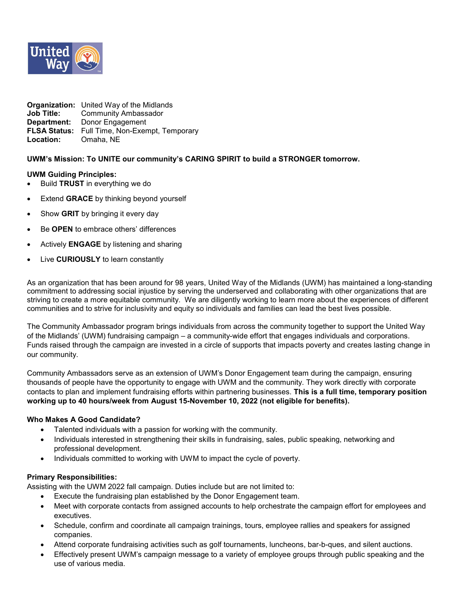

|                            | <b>Organization:</b> United Way of the Midlands |
|----------------------------|-------------------------------------------------|
| Job Title:                 | <b>Community Ambassador</b>                     |
|                            | <b>Department:</b> Donor Engagement             |
|                            | FLSA Status: Full Time, Non-Exempt, Temporary   |
| <b>Location:</b> Omaha, NE |                                                 |

# **UWM's Mission: To UNITE our community's CARING SPIRIT to build a STRONGER tomorrow.**

### **UWM Guiding Principles:**

- Build **TRUST** in everything we do
- **Extend GRACE** by thinking beyond yourself
- Show **GRIT** by bringing it every day
- Be **OPEN** to embrace others' differences
- Actively **ENGAGE** by listening and sharing
- Live **CURIOUSLY** to learn constantly

As an organization that has been around for 98 years, United Way of the Midlands (UWM) has maintained a long-standing commitment to addressing social injustice by serving the underserved and collaborating with other organizations that are striving to create a more equitable community. We are diligently working to learn more about the experiences of different communities and to strive for inclusivity and equity so individuals and families can lead the best lives possible.

The Community Ambassador program brings individuals from across the community together to support the United Way of the Midlands' (UWM) fundraising campaign – a community-wide effort that engages individuals and corporations. Funds raised through the campaign are invested in a circle of supports that impacts poverty and creates lasting change in our community.

Community Ambassadors serve as an extension of UWM's Donor Engagement team during the campaign, ensuring thousands of people have the opportunity to engage with UWM and the community. They work directly with corporate contacts to plan and implement fundraising efforts within partnering businesses. **This is a full time, temporary position working up to 40 hours/week from August 15-November 10, 2022 (not eligible for benefits).**

### **Who Makes A Good Candidate?**

- Talented individuals with a passion for working with the community.
- Individuals interested in strengthening their skills in fundraising, sales, public speaking, networking and professional development.
- Individuals committed to working with UWM to impact the cycle of poverty.

### **Primary Responsibilities:**

Assisting with the UWM 2022 fall campaign. Duties include but are not limited to:

- Execute the fundraising plan established by the Donor Engagement team.
- Meet with corporate contacts from assigned accounts to help orchestrate the campaign effort for employees and executives.
- Schedule, confirm and coordinate all campaign trainings, tours, employee rallies and speakers for assigned companies.
- Attend corporate fundraising activities such as golf tournaments, luncheons, bar-b-ques, and silent auctions.
- Effectively present UWM's campaign message to a variety of employee groups through public speaking and the use of various media.